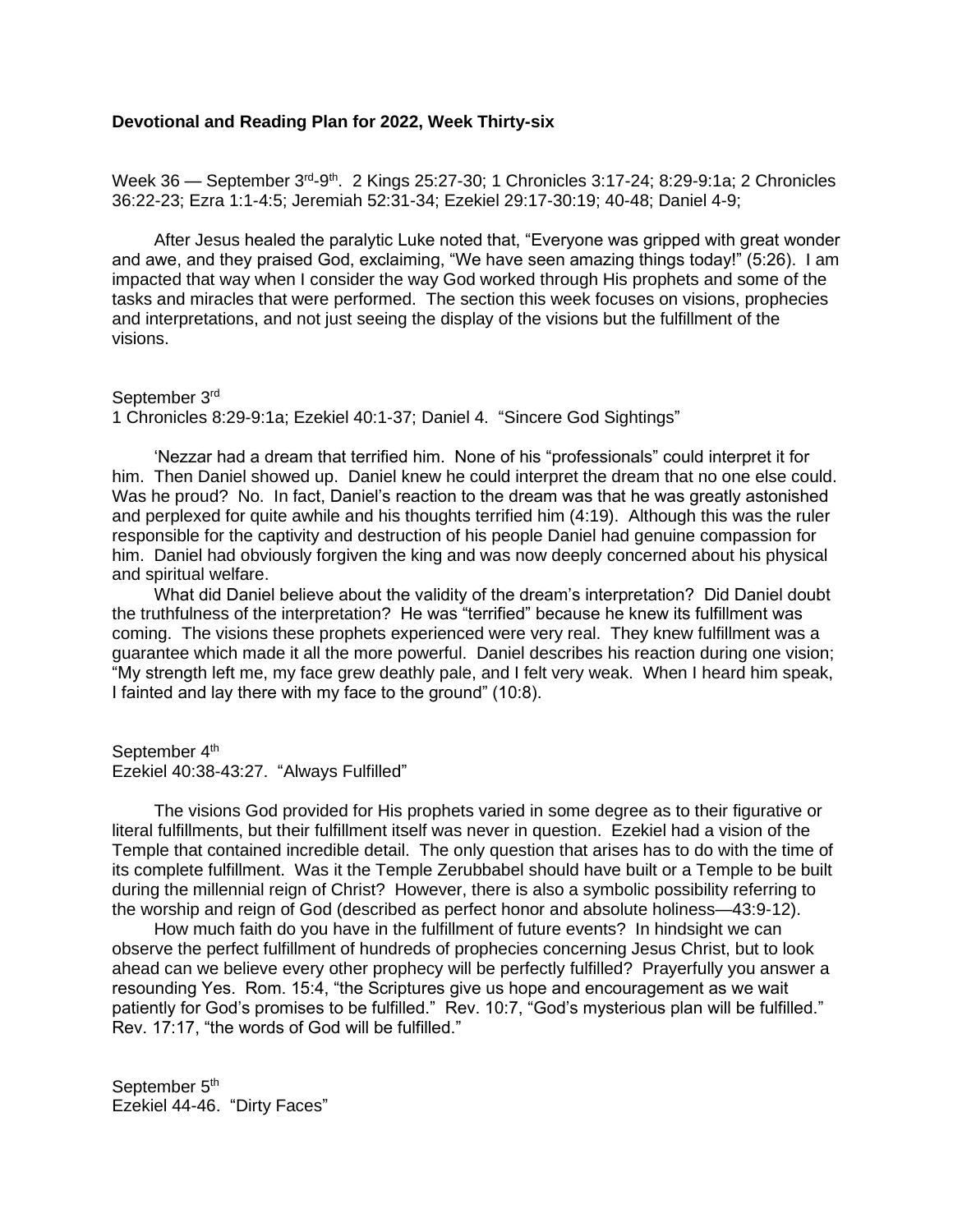## **Devotional and Reading Plan for 2022, Week Thirty-six**

Week 36 — September 3<sup>rd</sup>-9<sup>th</sup>. 2 Kings 25:27-30; 1 Chronicles 3:17-24; 8:29-9:1a; 2 Chronicles 36:22-23; Ezra 1:1-4:5; Jeremiah 52:31-34; Ezekiel 29:17-30:19; 40-48; Daniel 4-9;

After Jesus healed the paralytic Luke noted that, "Everyone was gripped with great wonder and awe, and they praised God, exclaiming, "We have seen amazing things today!" (5:26). I am impacted that way when I consider the way God worked through His prophets and some of the tasks and miracles that were performed. The section this week focuses on visions, prophecies and interpretations, and not just seeing the display of the visions but the fulfillment of the visions.

September 3rd 1 Chronicles 8:29-9:1a; Ezekiel 40:1-37; Daniel 4. "Sincere God Sightings"

'Nezzar had a dream that terrified him. None of his "professionals" could interpret it for him. Then Daniel showed up. Daniel knew he could interpret the dream that no one else could. Was he proud? No. In fact, Daniel's reaction to the dream was that he was greatly astonished and perplexed for quite awhile and his thoughts terrified him (4:19). Although this was the ruler responsible for the captivity and destruction of his people Daniel had genuine compassion for him. Daniel had obviously forgiven the king and was now deeply concerned about his physical and spiritual welfare.

What did Daniel believe about the validity of the dream's interpretation? Did Daniel doubt the truthfulness of the interpretation? He was "terrified" because he knew its fulfillment was coming. The visions these prophets experienced were very real. They knew fulfillment was a guarantee which made it all the more powerful. Daniel describes his reaction during one vision; "My strength left me, my face grew deathly pale, and I felt very weak. When I heard him speak, I fainted and lay there with my face to the ground" (10:8).

September 4<sup>th</sup> Ezekiel 40:38-43:27. "Always Fulfilled"

The visions God provided for His prophets varied in some degree as to their figurative or literal fulfillments, but their fulfillment itself was never in question. Ezekiel had a vision of the Temple that contained incredible detail. The only question that arises has to do with the time of its complete fulfillment. Was it the Temple Zerubbabel should have built or a Temple to be built during the millennial reign of Christ? However, there is also a symbolic possibility referring to the worship and reign of God (described as perfect honor and absolute holiness—43:9-12).

How much faith do you have in the fulfillment of future events? In hindsight we can observe the perfect fulfillment of hundreds of prophecies concerning Jesus Christ, but to look ahead can we believe every other prophecy will be perfectly fulfilled? Prayerfully you answer a resounding Yes. Rom. 15:4, "the Scriptures give us hope and encouragement as we wait patiently for God's promises to be fulfilled." Rev. 10:7, "God's mysterious plan will be fulfilled." Rev. 17:17, "the words of God will be fulfilled."

September 5<sup>th</sup> Ezekiel 44-46. "Dirty Faces"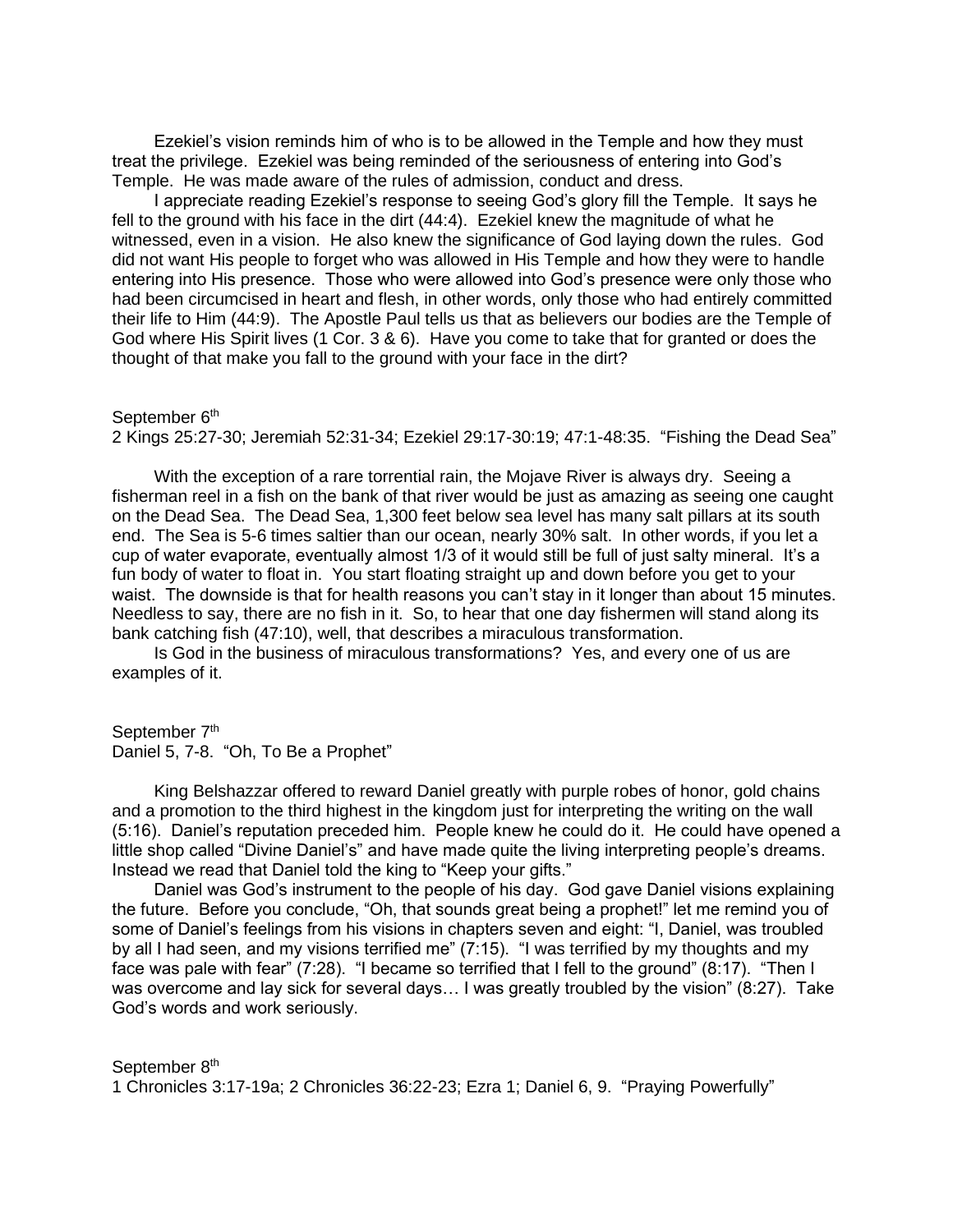Ezekiel's vision reminds him of who is to be allowed in the Temple and how they must treat the privilege. Ezekiel was being reminded of the seriousness of entering into God's Temple. He was made aware of the rules of admission, conduct and dress.

I appreciate reading Ezekiel's response to seeing God's glory fill the Temple. It says he fell to the ground with his face in the dirt (44:4). Ezekiel knew the magnitude of what he witnessed, even in a vision. He also knew the significance of God laying down the rules. God did not want His people to forget who was allowed in His Temple and how they were to handle entering into His presence. Those who were allowed into God's presence were only those who had been circumcised in heart and flesh, in other words, only those who had entirely committed their life to Him (44:9). The Apostle Paul tells us that as believers our bodies are the Temple of God where His Spirit lives (1 Cor. 3 & 6). Have you come to take that for granted or does the thought of that make you fall to the ground with your face in the dirt?

## September 6<sup>th</sup>

2 Kings 25:27-30; Jeremiah 52:31-34; Ezekiel 29:17-30:19; 47:1-48:35. "Fishing the Dead Sea"

With the exception of a rare torrential rain, the Mojave River is always dry. Seeing a fisherman reel in a fish on the bank of that river would be just as amazing as seeing one caught on the Dead Sea. The Dead Sea, 1,300 feet below sea level has many salt pillars at its south end. The Sea is 5-6 times saltier than our ocean, nearly 30% salt. In other words, if you let a cup of water evaporate, eventually almost 1/3 of it would still be full of just salty mineral. It's a fun body of water to float in. You start floating straight up and down before you get to your waist. The downside is that for health reasons you can't stay in it longer than about 15 minutes. Needless to say, there are no fish in it. So, to hear that one day fishermen will stand along its bank catching fish (47:10), well, that describes a miraculous transformation.

Is God in the business of miraculous transformations? Yes, and every one of us are examples of it.

## September 7<sup>th</sup>

Daniel 5, 7-8. "Oh, To Be a Prophet"

King Belshazzar offered to reward Daniel greatly with purple robes of honor, gold chains and a promotion to the third highest in the kingdom just for interpreting the writing on the wall (5:16). Daniel's reputation preceded him. People knew he could do it. He could have opened a little shop called "Divine Daniel's" and have made quite the living interpreting people's dreams. Instead we read that Daniel told the king to "Keep your gifts."

Daniel was God's instrument to the people of his day. God gave Daniel visions explaining the future. Before you conclude, "Oh, that sounds great being a prophet!" let me remind you of some of Daniel's feelings from his visions in chapters seven and eight: "I, Daniel, was troubled by all I had seen, and my visions terrified me" (7:15). "I was terrified by my thoughts and my face was pale with fear" (7:28). "I became so terrified that I fell to the ground" (8:17). "Then I was overcome and lay sick for several days… I was greatly troubled by the vision" (8:27). Take God's words and work seriously.